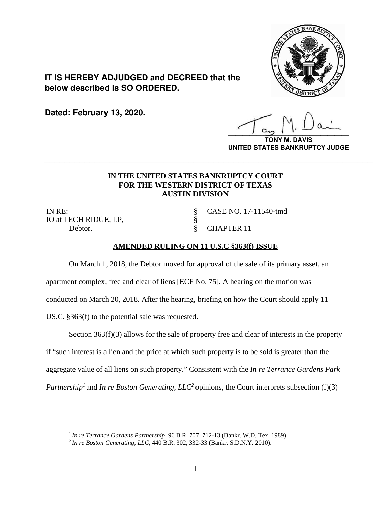

## **IT IS HEREBY ADJUDGED and DECREED that the below described is SO ORDERED.**

**Dated: February 13, 2020.**

**\_\_\_\_\_\_\_\_\_\_\_\_\_\_\_\_\_\_\_\_\_\_\_\_\_\_\_\_\_\_\_\_\_\_**

**TONY M. DAVIS UNITED STATES BANKRUPTCY JUDGE**

## **IN THE UNITED STATES BANKRUPTCY COURT FOR THE WESTERN DISTRICT OF TEXAS AUSTIN DIVISION**

**\_\_\_\_\_\_\_\_\_\_\_\_\_\_\_\_\_\_\_\_\_\_\_\_\_\_\_\_\_\_\_\_\_\_\_\_\_\_\_\_\_\_\_\_\_\_\_\_\_\_\_\_\_\_\_\_\_\_\_\_\_\_\_\_\_\_**

§ §

IN RE: IO at TECH RIDGE, LP, Debtor. § CHAPTER 11

CASE NO. 17-11540-tmd

## **AMENDED RULING ON 11 U.S.C §363(f) ISSUE**

On March 1, 2018, the Debtor moved for approval of the sale of its primary asset, an apartment complex, free and clear of liens [ECF No. 75]. A hearing on the motion was conducted on March 20, 2018. After the hearing, briefing on how the Court should apply 11 US.C. §363(f) to the potential sale was requested.

Section 363(f)(3) allows for the sale of property free and clear of interests in the property if "such interest is a lien and the price at which such property is to be sold is greater than the aggregate value of all liens on such property." Consistent with the *In re Terrance Gardens Park Partnership<sup>1</sup>* and *In re Boston Generating, LLC<sup>2</sup> opinions, the Court interprets subsection (f)(3)* 

<sup>&</sup>lt;sup>1</sup> *In re Terrance Gardens Partnership*, 96 B.R. 707, 712-13 (Bankr. W.D. Tex. 1989).<br><sup>2</sup> *In re Boston Generating, LLC*, 440 B.R. 302, 332-33 (Bankr. S.D.N.Y. 2010).